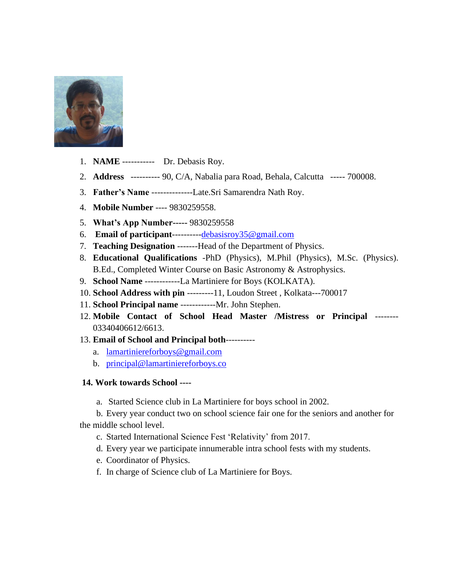

- 1. **NAME** ----------- Dr. Debasis Roy.
- 2. **Address** ---------- 90, C/A, Nabalia para Road, Behala, Calcutta ----- 700008.
- 3. **Father's Name** --------------Late.Sri Samarendra Nath Roy.
- 4. **Mobile Number** ---- 9830259558.
- 5. **What's App Number-----** 9830259558
- 6. **Email of participant**---------[-debasisroy35@gmail.com](mailto:debasisroy35@gmail.com)
- 7. **Teaching Designation** -------Head of the Department of Physics.
- 8. **Educational Qualifications** -PhD (Physics), M.Phil (Physics), M.Sc. (Physics). B.Ed., Completed Winter Course on Basic Astronomy & Astrophysics.
- 9. **School Name** ------------La Martiniere for Boys (KOLKATA).
- 10. **School Address with pin** ---------11, Loudon Street , Kolkata---700017
- 11. **School Principal name** ------------Mr. John Stephen.
- 12. **Mobile Contact of School Head Master /Mistress or Principal** -------- 03340406612/6613.
- 13. **Email of School and Principal both**---------
	- a. [lamartiniereforboys@gmail.com](mailto:lamartiniereforboys@gmail.com)
	- b. [principal@lamartiniereforboys.co](mailto:principal@lamartiniereforboys.co)

## **14. Work towards School ----**

a. Started Science club in La Martiniere for boys school in 2002.

b. Every year conduct two on school science fair one for the seniors and another for the middle school level.

- c. Started International Science Fest 'Relativity' from 2017.
- d. Every year we participate innumerable intra school fests with my students.
- e. Coordinator of Physics.
- f. In charge of Science club of La Martiniere for Boys.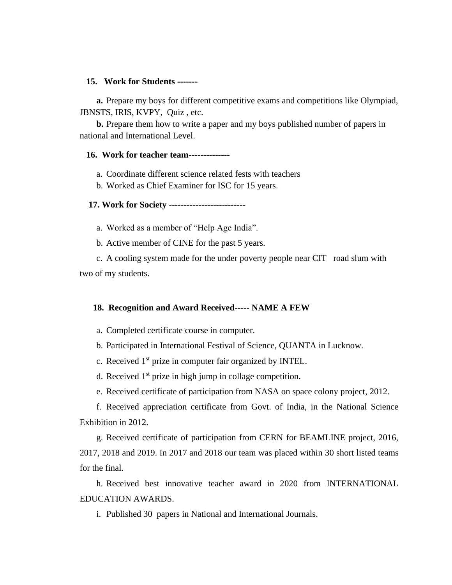## **15. Work for Students -------**

**a.** Prepare my boys for different competitive exams and competitions like Olympiad, JBNSTS, IRIS, KVPY, Quiz , etc.

**b.** Prepare them how to write a paper and my boys published number of papers in national and International Level.

## **16. Work for teacher team--------------**

a. Coordinate different science related fests with teachers

b. Worked as Chief Examiner for ISC for 15 years.

 **17. Work for Society** --------------------------

a. Worked as a member of "Help Age India".

b. Active member of CINE for the past 5 years.

c. A cooling system made for the under poverty people near CIT road slum with two of my students.

## **18. Recognition and Award Received----- NAME A FEW**

a. Completed certificate course in computer.

b. Participated in International Festival of Science, QUANTA in Lucknow.

c. Received 1st prize in computer fair organized by INTEL.

d. Received  $1<sup>st</sup>$  prize in high jump in collage competition.

e. Received certificate of participation from NASA on space colony project, 2012.

f. Received appreciation certificate from Govt. of India, in the National Science Exhibition in 2012.

g. Received certificate of participation from CERN for BEAMLINE project, 2016, 2017, 2018 and 2019. In 2017 and 2018 our team was placed within 30 short listed teams for the final.

h. Received best innovative teacher award in 2020 from INTERNATIONAL EDUCATION AWARDS.

i. Published 30 papers in National and International Journals.